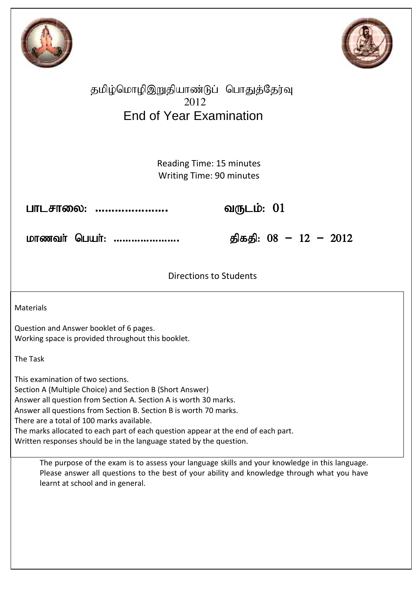



# தமிழ்மொழிஇறுதியாண்டுப் பொதுத்தேர்வு 2012 End of Year Examination

Reading Time: 15 minutes Writing Time: 90 minutes

 ghlrhiy: **………………….** tUlk;: 01 Ξ

ନ khzth; ngah;: **………………….** jpfjp: 08 **–** 12 **–** 2012

Directions to Students 

Materials

Question and Answer booklet of 6 pages. Working space is provided throughout this booklet.

The Task

This examination of two sections. Section A (Multiple Choice) and Section B (Short Answer) Answer all question from Section A. Section A is worth 30 marks. Answer all questions from Section B. Section B is worth 70 marks. There are a total of 100 marks available. The marks allocated to each part of each question appear at the end of each part. Written responses should be in the language stated by the question.

The purpose of the exam is to assess your language skills and your knowledge in this language. Please answer all questions to the best of your ability and knowledge through what you have learnt at school and in general.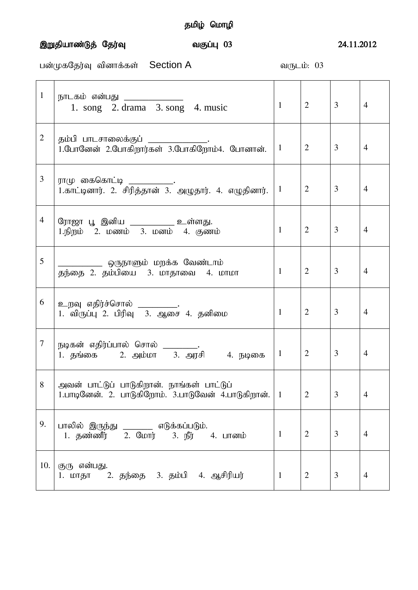#### ,Wjpahz;Lj; Nju;T tFg;G 03 24.11.2012

gd;KfNju;T tpdhf;fs; Section A tUlk;: 03

| $\mathbf{1}$   | நாடகம் என்பது _____________<br>1. song 2. drama 3. song 4. music                                  | 1               | 2              | $\overline{3}$ | $\overline{4}$ |
|----------------|---------------------------------------------------------------------------------------------------|-----------------|----------------|----------------|----------------|
| $\overline{2}$ | தம்பி பாடசாலைக்குப்<br>1.போனேன் 2.போகிறார்கள் 3.போகிறோம்4. போனான்.                                | 1               | 2              | 3              | $\overline{4}$ |
| 3              | ராமு கைகொட்டி ______________.<br>1.காட்டினார். 2. சிரித்தான் 3. அழுதார். 4. எழுதினார்.            | $\mathbf{1}$    | 2              | 3              | $\overline{4}$ |
| 4              | ரோஜா பூ இனிய ____________ உள்ளது.<br>1.நிறம் 2. மணம் 3. மனம் 4. குணம்                             | 1               | 2              | 3              | $\overline{4}$ |
| 5              | _______ ஒருநாளும் மறக்க வேண்டாம்<br>தந்தை 2. தம்பியை 3. மாதாவை 4. மாமா                            | $\mathbf{1}$    | $\overline{2}$ | $\overline{3}$ | $\overline{4}$ |
| 6              | உறவு எதிர்ச்சொல் __________.<br>1. விருப்பு 2. பிரிவு 3. ஆசை 4. தனிமை                             | $\mathbf{1}$    | 2              | $\overline{3}$ | $\overline{4}$ |
| $\overline{7}$ | நடிகன் எதிர்ப்பால் சொல் ________<br>1. தங்கை 2. அம்மா 3. அரசி 4. நடிகை                            | $\mathbf{1}$    | $\overline{2}$ | 3              | $\overline{4}$ |
| 8              | அவன் பாட்டுப் பாடுகிறான். நாங்கள் பாட்டுப்<br>1.பாடினேன். 2. பாடுகிறோம். 3.பாடுவேன் 4.பாடுகிறான். | $\vert 1 \vert$ | 2              | 3              | Δ              |
| 9.             | பாலில் இருந்து ________ எடுக்கப்படும்.<br>1. தண்ணீர் 2. மோர் 3. நீர் 4. பானம்                     | $\mathbf{1}$    | 2              | 3              | $\overline{4}$ |
|                | 10. குரு என்பது.<br>1. மாதா – 2. தந்தை – 3. தம்பி – 4. ஆசிரியர்                                   | $\mathbf{1}$    | $\overline{2}$ | 3              | $\overline{4}$ |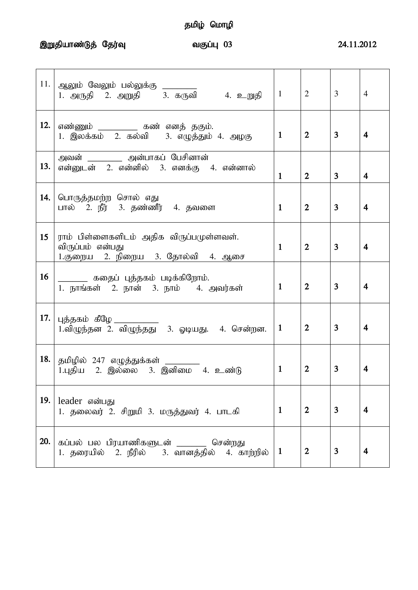,Wjpahz;Lj; Nju;T tFg;G 03 24.11.2012

| 11. | ஆலும் வேலும் பல்லுக்கு ________<br>1. அருதி 2. அறுதி 3. கருவி 4. உறுதி                           | $\mathbf{1}$ | $\overline{2}$   | 3              | $\overline{4}$          |
|-----|--------------------------------------------------------------------------------------------------|--------------|------------------|----------------|-------------------------|
| 12. | எண்ணும் ___________ கண் எனத் தகும்.<br>1. இலக்கம் 2. கல்வி 3. எழுத்தும் 4. அழகு                  | $\mathbf{1}$ | $\overline{2}$   | 3              | 4                       |
| 13. | அவன் _________ அன்பாகப் பேசினான்<br>என்னுடன் 2. என்னில் 3. எனக்கு 4. என்னால்                     | $\mathbf{1}$ | $\overline{2}$   | 3              | $\overline{\mathbf{4}}$ |
| 14. | பொருத்தமற்ற சொல் எது<br>பால் 2. நீர் 3. தண்ணீர் 4. தவளை                                          | $\mathbf{1}$ | $\overline{2}$   | $\overline{3}$ | $\overline{\mathbf{4}}$ |
| 15  | ராம் பிள்ளைகளிடம் அதிக விருப்பமுள்ளவள்.<br>விருப்பம் என்பது<br>1.குறைய 2. நிறைய 3. தோல்வி 4. ஆசை | $\mathbf{1}$ | $\overline{2}$   | $\overline{3}$ | $\overline{4}$          |
| 16  | _________ கதைப் புத்தகம் படிக்கிறோம்.<br>1. நாங்கள் 2. நான் 3. நாம் 4. அவர்கள்                   | $\mathbf{1}$ | $\overline{2}$   | $\overline{3}$ | $\overline{4}$          |
| 17. | புத்தகம் கீழே _____________<br>1.விழுந்தன 2. விழுந்தது  3. ஓடியது.  4. சென்றன.                   | $\mathbf{1}$ | $\boldsymbol{2}$ | 3              | $\overline{\mathbf{4}}$ |
| 18. | தமிழில் 247 எழுத்துக்கள் _______<br>1.புதிய 2. இல்லை 3. இனிமை 4. உண்டு                           | $\mathbf{1}$ | $\overline{2}$   | 3              | 4                       |
| 19. | leader என்பது<br>1. தலைவர் 2. சிறுமி 3. மருத்துவர் 4. பாடகி                                      | $\mathbf{1}$ | $\overline{2}$   | 3              | $\overline{\mathbf{4}}$ |
| 20. | கப்பல் பல பிரயாணிகளுடன் ______<br>சென்றது<br>1. தரையில் 2. நீரில் 3. வானத்தில் 4. காற்றில்       | $\mathbf{1}$ | $\overline{2}$   | 3              | $\overline{\mathbf{4}}$ |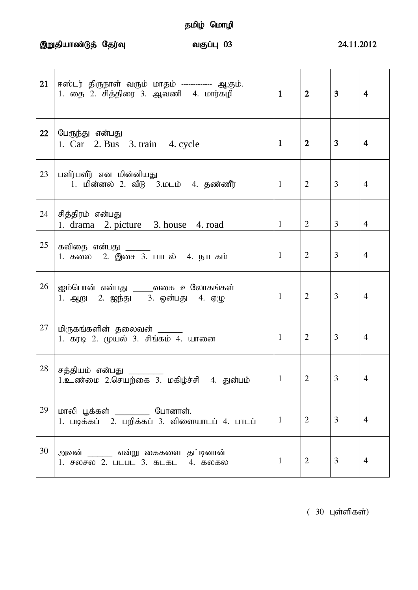,Wjpahz;Lj; Nju;T tFg;G 03 24.11.2012

| 21 | ஈஸ்டர் திருநாள் வரும் மாதம் ------------- ஆகும்.<br>1. தை 2. சித்திரை 3. ஆவணி 4. மார்கழி | $\mathbf{1}$ | $\overline{2}$ | $\overline{3}$ | $\overline{\mathbf{4}}$ |
|----|------------------------------------------------------------------------------------------|--------------|----------------|----------------|-------------------------|
| 22 | பேரூந்து என்பது<br>1. Car 2. Bus 3. train 4. cycle                                       | $\mathbf{1}$ | $\overline{2}$ | 3              | 4                       |
| 23 | பளீர்பளீர் என மின்னியது<br>1. மின்னல் 2. வீடு 3.மடம் 4. தண்ணீர்                          | $\mathbf{1}$ | 2              | 3              | $\overline{4}$          |
| 24 | சித்திரம் என்பது<br>1. drama 2. picture 3. house 4. road                                 | $\mathbf{1}$ | $\overline{2}$ | 3              | $\overline{4}$          |
| 25 | கவிதை என்பது ______<br>1. கலை 2. இசை 3. பாடல் 4. நாடகம்                                  | $\mathbf{1}$ | $\overline{2}$ | 3              | $\overline{4}$          |
| 26 | ஐம்பொன் என்பது ____வகை உலோகங்கள்<br>1. ஆறு 2. ஐந்து 3. ஒன்பது 4. ஏழு                     | $\mathbf{1}$ | $\overline{2}$ | 3              | $\overline{4}$          |
| 27 | மிருகங்களின் தலைவன் _____<br>1. கரடி 2. முயல் 3. சிங்கம் 4. யானை                         | $\mathbf{1}$ | $\overline{2}$ | 3              | 4                       |
| 28 | சத்தியம் என்பது<br>1.உண்மை 2.செயற்கை 3. மகிழ்ச்சி 4. துன்பம்                             | 1            | $\overline{2}$ | 3              | 4                       |
| 29 | மாலி பூக்கள் _________ போனாள்.<br>1. படிக்கப் 2. பறிக்கப் 3. விளையாடப் 4. பாடப்          | $\mathbf{1}$ | $\overline{2}$ | 3              | $\overline{4}$          |
| 30 | அவன் ______ என்று கைகளை தட்டினான்<br>1. சலசல 2. படபட 3. கடகட 4. கலகல                     | 1            | $\overline{2}$ | 3              | 4                       |

 $(30 \text{ L} \text{sim} \text{J} \text{sim} \text{J} \text{sim})$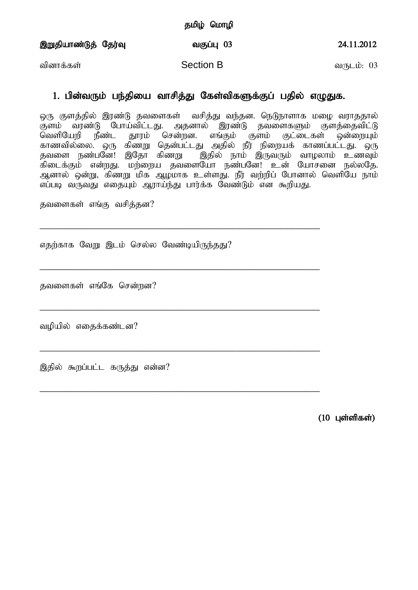,Wjpahz;Lj; Nju;T tFg;G 03 24.11.2012

tpdhf;fs; Section B tUlk;: 03

### 1. பின்வரும் பந்தியை வாசித்து கேள்விகளுக்குப் பதில் எழுதுக.

ஒரு குளத்தில் இரண்டு தவளைகள் வசித்து வந்தன. நெடுநாளாக மழை வராததால் குளம் வரண்டு போய்விட்டது. அதனால் இரண்டு தவளைகளும் குளத்தைவிட்டு<br>வெளியேறி நீண்ட காாம் சென்றன. எங்கம் குளம் குட்டைகள் ஒன்ஸையம் நீண்ட தூரம் சென்றன. எங்கும் குளம் குட்டைகள் ஒன்றையும் காணவில்லை. ஒரு கிண்று தென்பட்டது அதில் நீர் நிறையக் காணப்பட்டது. ஒரு தவளை நண்பனே! இதோ கிணறு தெதில் நாம் இருவரும் வாழலாம் உணவும் .<br>கிடைக்கும் என்றது. மற்றைய தவளையோ நண்பனே! உன் யோசனை நல்லதே. அனால் ஒன்று, கிணறு மிக ஆழமாக உள்ளது. நீர் வற்றிப் போனால் வெளியே நாம் எப்படி வருவது எதையும் ஆராய்ந்து பார்க்க வேண்டும் என கூறியது.

\_\_\_\_\_\_\_\_\_\_\_\_\_\_\_\_\_\_\_\_\_\_\_\_\_\_\_\_\_\_\_\_\_\_\_\_\_\_\_\_\_\_\_\_\_\_\_\_\_\_\_\_\_\_\_\_\_

\_\_\_\_\_\_\_\_\_\_\_\_\_\_\_\_\_\_\_\_\_\_\_\_\_\_\_\_\_\_\_\_\_\_\_\_\_\_\_\_\_\_\_\_\_\_\_\_\_\_\_\_\_\_\_\_\_

\_\_\_\_\_\_\_\_\_\_\_\_\_\_\_\_\_\_\_\_\_\_\_\_\_\_\_\_\_\_\_\_\_\_\_\_\_\_\_\_\_\_\_\_\_\_\_\_\_\_\_\_\_\_\_\_\_

\_\_\_\_\_\_\_\_\_\_\_\_\_\_\_\_\_\_\_\_\_\_\_\_\_\_\_\_\_\_\_\_\_\_\_\_\_\_\_\_\_\_\_\_\_\_\_\_\_\_\_\_\_\_\_\_\_

\_\_\_\_\_\_\_\_\_\_\_\_\_\_\_\_\_\_\_\_\_\_\_\_\_\_\_\_\_\_\_\_\_\_\_\_\_\_\_\_\_\_\_\_\_\_\_\_\_\_\_\_\_\_\_\_\_

தவளைகள் எங்கு வசித்தன?

எதற்காக வேறு இடம் செல்ல வேண்டியிருந்தது?

தவளைகள் எங்கே சென்றன?

வழியில் எதைக்கண்டன?

இதில் கூறப்பட்ட கருத்து என்ன?

 $(10 \;$  Цள்ளிகள்)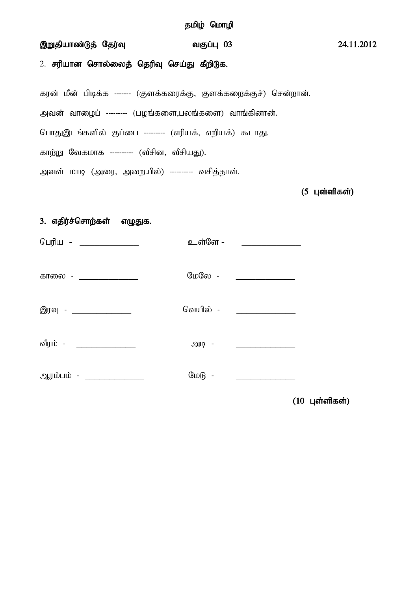#### ,Wjpahz;Lj; Nju;T tFg;G 03 24.11.2012

2. சரியான சொல்லைத் தெரிவு செய்து கீறிடுக.

கரன் மீன் பிடிக்க ------- (குளக்கரைக்கு, குளக்கறைக்குச்) சென்றான்.

அவன் வாழைப் --------- (பழங்களை,பலங்களை) வாங்கினான்.

பொதுஇடங்களில் குப்பை --------- (எரியக், எறியக்) கூடாது.

காற்று வேகமாக ---------- (வீசின, வீசியது).

அவள் மாடி (அரை, அறையில்) ---------- வசித்தாள்.

 $(5 \text{ L} \text{or} \text{m} \text{m} \text{cm})$ 

#### 3. எதிர்ச்சொற்கள் எழுதுக.

| பெரிய - _______________  | உள்ளே -           |                                         |
|--------------------------|-------------------|-----------------------------------------|
| காலை - _____________     | மேலே -            |                                         |
| இரவு - ______________    | வெயில் -          |                                         |
| வீரம் - _______________  | $ \frac{100}{10}$ |                                         |
| ஆரம்பம் - ______________ | $GID(B -$         | <u> 1989 - Johann Barbara, martin a</u> |

 $(10 \text{ L} \text{or} \text{m} \text{m} \text{m})$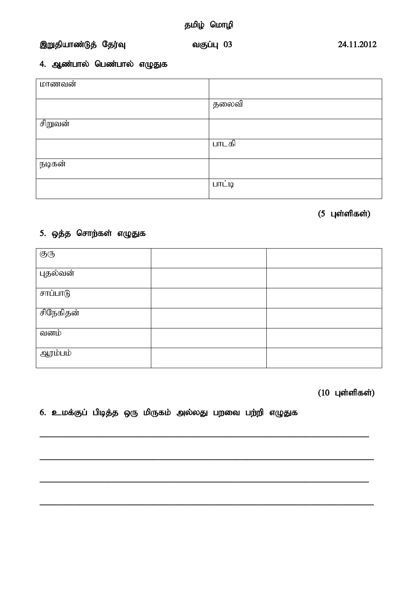#### ,Wjpahz;Lj; Nju;T tFg;G 03 24.11.2012

#### 4. ஆண்பால் பெண்பால் எழுதுக

| மாணவன்  |        |
|---------|--------|
|         | தலைவி  |
| சிறுவன் |        |
|         | பாடகி  |
| நடிகன்  |        |
|         | பாட்டி |

## $(5 \text{ L}$ ள்ளிகள்)

#### 5. ஒத்த சொற்கள் எழுதுக

| $\bigoplus(\overline{b}$ |  |
|--------------------------|--|
| புதல்வன்                 |  |
| <u>சாப்பாடு</u>          |  |
| சிநேகிதன்                |  |
| வனம்                     |  |
| ஆரம்பம்                  |  |

**\_\_\_\_\_\_\_\_\_\_\_\_\_\_\_\_\_\_\_\_\_\_\_\_\_\_\_\_\_\_\_\_\_\_\_\_\_\_\_\_\_\_\_\_\_\_\_\_\_\_\_\_\_\_\_\_\_\_\_\_\_\_\_\_\_\_\_**

**\_\_\_\_\_\_\_\_\_\_\_\_\_\_\_\_\_\_\_\_\_\_\_\_\_\_\_\_\_\_\_\_\_\_\_\_\_\_\_\_\_\_\_\_\_\_\_\_\_\_\_\_\_\_\_\_\_\_\_\_\_\_\_\_\_\_\_\_**

**\_\_\_\_\_\_\_\_\_\_\_\_\_\_\_\_\_\_\_\_\_\_\_\_\_\_\_\_\_\_\_\_\_\_\_\_\_\_\_\_\_\_\_\_\_\_\_\_\_\_\_\_\_\_\_\_\_\_\_\_\_\_\_\_\_\_\_**

**\_\_\_\_\_\_\_\_\_\_\_\_\_\_\_\_\_\_\_\_\_\_\_\_\_\_\_\_\_\_\_\_\_\_\_\_\_\_\_\_\_\_\_\_\_\_\_\_\_\_\_\_\_\_\_\_\_\_\_\_\_\_\_\_\_\_\_\_**

 $(10 \text{ L}$ ள்ளிகள்)

#### 6. உமக்குப் பிடித்த ஒரு மிருகம் அல்லது பறவை பற்றி எழுதுக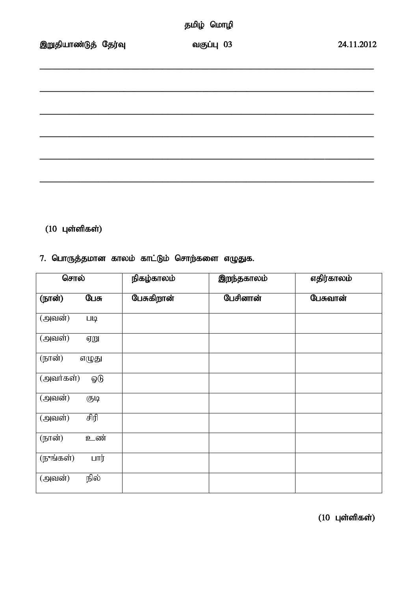|  | தமிழ் மொழி |
|--|------------|
|--|------------|

## $(10 \text{ L}$ ள்ளிகள்)

### 7. பொருத்தமான காலம் காட்டும் சொற்களை எழுதுக.

| சொல்                                  |             | நிகழ்காலம் | இறந்தகாலம் | எதிர்காலம் |
|---------------------------------------|-------------|------------|------------|------------|
| (நான்)                                | பேசு        | பேசுகிறான் | பேசினான்   | பேசுவான்   |
| $\overline{(\overline{\omega})}$ வன்) | <b>LIIQ</b> |            |            |            |
| $($ அவள் $)$                          | ஏறு         |            |            |            |
| (நான்)                                | எழுது       |            |            |            |
| (அவர்கள்)                             | ஓடு         |            |            |            |
| (அவன்)                                | 西以          |            |            |            |
| $($ அவள் $)$                          | சிரி        |            |            |            |
| (நான்)                                | உண்         |            |            |            |
| (நுங்கள்)                             | பார்        |            |            |            |
| $\overline{(\overline{\omega})}$ வன்) | நில்        |            |            |            |

 $(10 \text{ L}$ ள்ளிகள்)